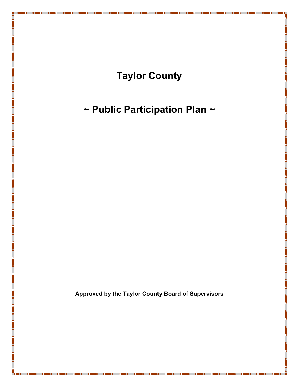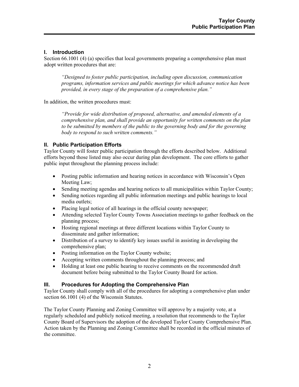## **I. Introduction**

Section 66.1001 (4) (a) specifies that local governments preparing a comprehensive plan must adopt written procedures that are:

*"Designed to foster public participation, including open discussion, communication programs, information services and public meetings for which advance notice has been provided, in every stage of the preparation of a comprehensive plan."* 

In addition, the written procedures must:

*"Provide for wide distribution of proposed, alternative, and amended elements of a comprehensive plan, and shall provide an opportunity for written comments on the plan to be submitted by members of the public to the governing body and for the governing body to respond to such written comments."* 

## **II. Public Participation Efforts**

Taylor County will foster public participation through the efforts described below. Additional efforts beyond those listed may also occur during plan development. The core efforts to gather public input throughout the planning process include:

- Posting public information and hearing notices in accordance with Wisconsin's Open Meeting Law;
- Sending meeting agendas and hearing notices to all municipalities within Taylor County;
- Sending notices regarding all public information meetings and public hearings to local media outlets;
- Placing legal notice of all hearings in the official county newspaper;
- Attending selected Taylor County Towns Association meetings to gather feedback on the planning process;
- Hosting regional meetings at three different locations within Taylor County to disseminate and gather information;
- Distribution of a survey to identify key issues useful in assisting in developing the comprehensive plan;
- Posting information on the Taylor County website;
- Accepting written comments throughout the planning process; and
- Holding at least one public hearing to receive comments on the recommended draft document before being submitted to the Taylor County Board for action.

## **III. Procedures for Adopting the Comprehensive Plan**

Taylor County shall comply with all of the procedures for adopting a comprehensive plan under section 66.1001 (4) of the Wisconsin Statutes.

The Taylor County Planning and Zoning Committee will approve by a majority vote, at a regularly scheduled and publicly noticed meeting, a resolution that recommends to the Taylor County Board of Supervisors the adoption of the developed Taylor County Comprehensive Plan. Action taken by the Planning and Zoning Committee shall be recorded in the official minutes of the committee.